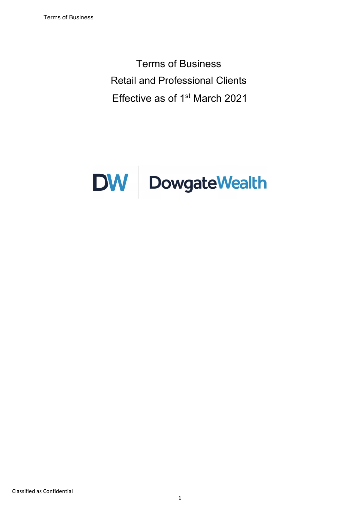Terms of Business Retail and Professional Clients Effective as of 1st March 2021

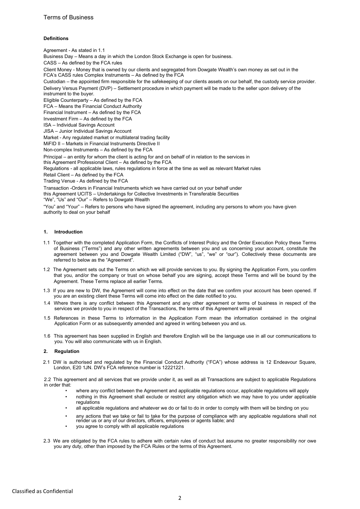## **Definitions**

Agreement - As stated in 1.1 Business Day – Means a day in which the London Stock Exchange is open for business. CASS – As defined by the FCA rules Client Money - Money that is owned by our clients and segregated from Dowgate Wealth's own money as set out in the FCA's CASS rules Complex Instruments – As defined by the FCA Custodian – the appointed firm responsible for the safekeeping of our clients assets on our behalf, the custody service provider. Delivery Versus Payment (DVP) – Settlement procedure in which payment will be made to the seller upon delivery of the instrument to the buyer. Eligible Counterparty – As defined by the FCA FCA – Means the Financial Conduct Authority Financial Instrument – As defined by the FCA Investment Firm – As defined by the FCA ISA – Individual Savings Account JISA – Junior Individual Savings Account Market - Any regulated market or multilateral trading facility MiFID II – Markets in Financial Instruments Directive II Non-complex Instruments – As defined by the FCA Principal – an entity for whom the client is acting for and on behalf of in relation to the services in this Agreement Professional Client – As defined by the FCA Regulations - all applicable laws, rules regulations in force at the time as well as relevant Market rules Retail Client – As defined by the FCA Trading Venue - As defined by the FCA Transaction -Orders in Financial Instruments which we have carried out on your behalf under this Agreement UCITS – Undertakings for Collective Investments in Transferable Securities "We", "Us" and "Our" – Refers to Dowgate Wealth "You" and "Your" – Refers to persons who have signed the agreement, including any persons to whom you have given authority to deal on your behalf

### 1. Introduction

- 1.1 Together with the completed Application Form, the Conflicts of Interest Policy and the Order Execution Policy these Terms of Business ("Terms") and any other written agreements between you and us concerning your account, constitute the agreement between you and Dowgate Wealth Limited ("DW", "us", "we" or "our"). Collectively these documents are referred to below as the "Agreement".
- 1.2 The Agreement sets out the Terms on which we will provide services to you. By signing the Application Form, you confirm that you, and/or the company or trust on whose behalf you are signing, accept these Terms and will be bound by the Agreement. These Terms replace all earlier Terms.
- 1.3 If you are new to DW, the Agreement will come into effect on the date that we confirm your account has been opened. If you are an existing client these Terms will come into effect on the date notified to you.
- 1.4 Where there is any conflict between this Agreement and any other agreement or terms of business in respect of the services we provide to you in respect of the Transactions, the terms of this Agreement will prevail
- 1.5 References in these Terms to information in the Application Form mean the information contained in the original Application Form or as subsequently amended and agreed in writing between you and us.
- 1.6 This agreement has been supplied in English and therefore English will be the language use in all our communications to you. You will also communicate with us in English.

### 2. Regulation

2.1 DW is authorised and regulated by the Financial Conduct Authority ("FCA") whose address is 12 Endeavour Square, London, E20 1JN. DW's FCA reference number is 12221221.

2.2 This agreement and all services that we provide under it, as well as all Transactions are subject to applicable Regulations in order that:

- where any conflict between the Agreement and applicable regulations occur, applicable regulations will apply
- nothing in this Agreement shall exclude or restrict any obligation which we may have to you under applicable regulations
- all applicable regulations and whatever we do or fail to do in order to comply with them will be binding on you
- any actions that we take or fail to take for the purpose of compliance with any applicable regulations shall not render us or any of our directors, officers, employees or agents liable; and
- you agree to comply with all applicable regulations
- 2.3 We are obligated by the FCA rules to adhere with certain rules of conduct but assume no greater responsibility nor owe you any duty, other than imposed by the FCA Rules or the terms of this Agreement.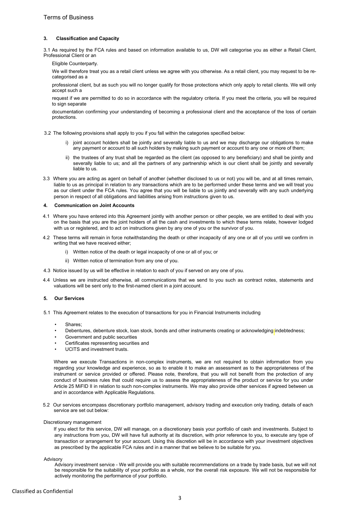## 3. Classification and Capacity

3.1 As required by the FCA rules and based on information available to us, DW will categorise you as either a Retail Client, Professional Client or an

Eligible Counterparty.

We will therefore treat you as a retail client unless we agree with you otherwise. As a retail client, you may request to be recategorised as a

professional client, but as such you will no longer qualify for those protections which only apply to retail clients. We will only accept such a

request if we are permitted to do so in accordance with the regulatory criteria. If you meet the criteria, you will be required to sign separate

documentation confirming your understanding of becoming a professional client and the acceptance of the loss of certain protections.

3.2 The following provisions shall apply to you if you fall within the categories specified below:

- i) joint account holders shall be jointly and severally liable to us and we may discharge our obligations to make any payment or account to all such holders by making such payment or account to any one or more of them;
- ii) the trustees of any trust shall be regarded as the client (as opposed to any beneficiary) and shall be jointly and severally liable to us; and all the partners of any partnership which is our client shall be jointly and severally liable to us.
- 3.3 Where you are acting as agent on behalf of another (whether disclosed to us or not) you will be, and at all times remain, liable to us as principal in relation to any transactions which are to be performed under these terms and we will treat you as our client under the FCA rules. You agree that you will be liable to us jointly and severally with any such underlying person in respect of all obligations and liabilities arising from instructions given to us.

#### 4. Communication on Joint Accounts

- 4.1 Where you have entered into this Agreement jointly with another person or other people, we are entitled to deal with you on the basis that you are the joint holders of all the cash and investments to which these terms relate, however lodged with us or registered, and to act on instructions given by any one of you or the survivor of you.
- 4.2 These terms will remain in force notwithstanding the death or other incapacity of any one or all of you until we confirm in writing that we have received either;
	- i) Written notice of the death or legal incapacity of one or all of you; or
	- ii) Written notice of termination from any one of you.
- 4.3 Notice issued by us will be effective in relation to each of you if served on any one of you.
- 4.4 Unless we are instructed otherwise, all communications that we send to you such as contract notes, statements and valuations will be sent only to the first-named client in a joint account.

### 5. Our Services

- 5.1 This Agreement relates to the execution of transactions for you in Financial Instruments including
	- Shares;
	- Debentures, debenture stock, loan stock, bonds and other instruments creating or acknowledging indebtedness;
	- Government and public securities
	- Certificates representing securities and
	- UCITS and investment trusts.

Where we execute Transactions in non-complex instruments, we are not required to obtain information from you regarding your knowledge and experience, so as to enable it to make an assessment as to the appropriateness of the instrument or service provided or offered. Please note, therefore, that you will not benefit from the protection of any conduct of business rules that could require us to assess the appropriateness of the product or service for you under Article 25 MiFID II in relation to such non-complex instruments. We may also provide other services if agreed between us and in accordance with Applicable Regulations.

5.2 Our services encompass discretionary portfolio management, advisory trading and execution only trading, details of each service are set out below:

#### Discretionary management

If you elect for this service, DW will manage, on a discretionary basis your portfolio of cash and investments. Subject to any instructions from you, DW will have full authority at its discretion, with prior reference to you, to execute any type of transaction or arrangement for your account. Using this discretion will be in accordance with your investment objectives as prescribed by the applicable FCA rules and in a manner that we believe to be suitable for you.

#### Advisory

Advisory investment service - We will provide you with suitable recommendations on a trade by trade basis, but we will not be responsible for the suitability of your portfolio as a whole, nor the overall risk exposure. We will not be responsible for actively monitoring the performance of your portfolio.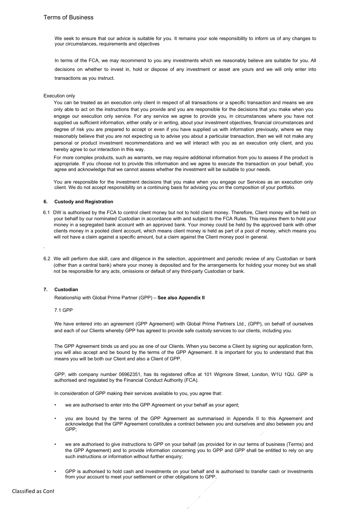We seek to ensure that our advice is suitable for you. It remains your sole responsibility to inform us of any changes to your circumstances, requirements and objectives

In terms of the FCA, we may recommend to you any investments which we reasonably believe are suitable for you. All decisions on whether to invest in, hold or dispose of any investment or asset are yours and we will only enter into transactions as you instruct.

### Execution only

You can be treated as an execution only client in respect of all transactions or a specific transaction and means we are only able to act on the instructions that you provide and you are responsible for the decisions that you make when you engage our execution only service. For any service we agree to provide you, in circumstances where you have not supplied us sufficient information, either orally or in writing, about your investment objectives, financial circumstances and degree of risk you are prepared to accept or even if you have supplied us with information previously, where we may reasonably believe that you are not expecting us to advise you about a particular transaction, then we will not make any personal or product investment recommendations and we will interact with you as an execution only client, and you hereby agree to our interaction in this way.

For more complex products, such as warrants, we may require additional information from you to assess if the product is appropriate. If you choose not to provide this information and we agree to execute the transaction on your behalf, you agree and acknowledge that we cannot assess whether the investment will be suitable to your needs.

You are responsible for the investment decisions that you make when you engage our Services as an execution only client. We do not accept responsibility on a continuing basis for advising you on the composition of your portfolio.

## 6. Custody and Registration

- 6.1 DW is authorised by the FCA to control client money but not to hold client money. Therefore, Client money will be held on your behalf by our nominated Custodian in accordance with and subject to the FCA Rules. This requires them to hold your money in a segregated bank account with an approved bank. Your money could be held by the approved bank with other clients money in a pooled client account, which means client money is held as part of a pool of money, which means you will not have a claim against a specific amount, but a claim against the Client money pool in general.
- 6.2 We will perform due skill, care and diligence in the selection, appointment and periodic review of any Custodian or bank (other than a central bank) where your money is deposited and for the arrangements for holding your money but we shall not be responsible for any acts, omissions or default of any third-party Custodian or bank.

### 7. Custodian

.

Relationship with Global Prime Partner (GPP) – See also Appendix II

7.1 GPP

We have entered into an agreement (GPP Agreement) with Global Prime Partners Ltd., (GPP), on behalf of ourselves and each of our Clients whereby GPP has agreed to provide safe custody services to our clients, including you.

The GPP Agreement binds us and you as one of our Clients. When you become a Client by signing our application form, you will also accept and be bound by the terms of the GPP Agreement. It is important for you to understand that this means you will be both our Client and also a Client of GPP.

GPP, with company number 06962351, has its registered office at 101 Wigmore Street, London, W1U 1QU. GPP is authorised and regulated by the Financial Conduct Authority (FCA).

In consideration of GPP making their services available to you, you agree that:

- we are authorised to enter into the GPP Agreement on your behalf as your agent;
- you are bound by the terms of the GPP Agreement as summarised in Appendix II to this Agreement and acknowledge that the GPP Agreement constitutes a contract between you and ourselves and also between you and GPP;
- we are authorised to give instructions to GPP on your behalf (as provided for in our terms of business (Terms) and the GPP Agreement) and to provide information concerning you to GPP and GPP shall be entitled to rely on any such instructions or information without further enquiry;
- GPP is authorised to hold cash and investments on your behalf and is authorised to transfer cash or investments from your account to meet your settlement or other obligations to GPP.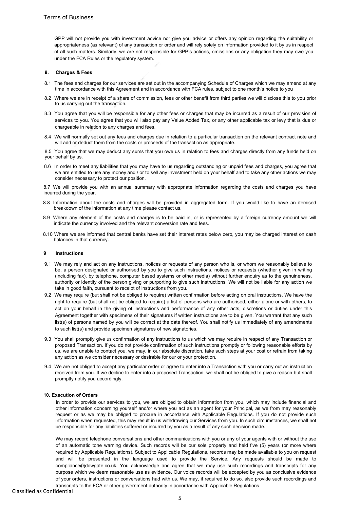GPP will not provide you with investment advice nor give you advice or offers any opinion regarding the suitability or appropriateness (as relevant) of any transaction or order and will rely solely on information provided to it by us in respect of all such matters. Similarly, we are not responsible for GPP's actions, omissions or any obligation they may owe you under the FCA Rules or the regulatory system.

### 8. Charges & Fees

- 8.1 The fees and charges for our services are set out in the accompanying Schedule of Charges which we may amend at any time in accordance with this Agreement and in accordance with FCA rules, subject to one month's notice to you
- 8.2 Where we are in receipt of a share of commission, fees or other benefit from third parties we will disclose this to you prior to us carrying out the transaction.
- 8.3 You agree that you will be responsible for any other fees or charges that may be incurred as a result of our provision of services to you. You agree that you will also pay any Value Added Tax, or any other applicable tax or levy that is due or chargeable in relation to any charges and fees.
- 8.4 We will normally set out any fees and charges due in relation to a particular transaction on the relevant contract note and will add or deduct them from the costs or proceeds of the transaction as appropriate.

8.5 You agree that we may deduct any sums that you owe us in relation to fees and charges directly from any funds held on your behalf by us.

8.6 In order to meet any liabilities that you may have to us regarding outstanding or unpaid fees and charges, you agree that we are entitled to use any money and / or to sell any investment held on your behalf and to take any other actions we may consider necessary to protect our position.

8.7 We will provide you with an annual summary with appropriate information regarding the costs and charges you have incurred during the year.

- 8.8 Information about the costs and charges will be provided in aggregated form. If you would like to have an itemised breakdown of the information at any time please contact us.
- 8.9 Where any element of the costs and charges is to be paid in, or is represented by a foreign currency amount we will indicate the currency involved and the relevant conversion rate and fees.
- 8.10 Where we are informed that central banks have set their interest rates below zero, you may be charged interest on cash balances in that currency.

### 9 Instructions

- 9.1 We may rely and act on any instructions, notices or requests of any person who is, or whom we reasonably believe to be, a person designated or authorised by you to give such instructions, notices or requests (whether given in writing (including fax), by telephone, computer based systems or other media) without further enquiry as to the genuineness, authority or identity of the person giving or purporting to give such instructions. We will not be liable for any action we take in good faith, pursuant to receipt of instructions from you.
- 9.2 We may require (but shall not be obliged to require) written confirmation before acting on oral instructions. We have the right to require (but shall not be obliged to require) a list of persons who are authorised, either alone or with others, to act on your behalf in the giving of instructions and performance of any other acts, discretions or duties under this Agreement together with specimens of their signatures if written instructions are to be given. You warrant that any such list(s) of persons named by you will be correct at the date thereof. You shall notify us immediately of any amendments to such list(s) and provide specimen signatures of new signatories.
- 9.3 You shall promptly give us confirmation of any instructions to us which we may require in respect of any Transaction or proposed Transaction. If you do not provide confirmation of such instructions promptly or following reasonable efforts by us, we are unable to contact you, we may, in our absolute discretion, take such steps at your cost or refrain from taking any action as we consider necessary or desirable for our or your protection.
- 9.4 We are not obliged to accept any particular order or agree to enter into a Transaction with you or carry out an instruction received from you. If we decline to enter into a proposed Transaction, we shall not be obliged to give a reason but shall promptly notify you accordingly.

### 10. Execution of Orders

In order to provide our services to you, we are obliged to obtain information from you, which may include financial and other information concerning yourself and/or where you act as an agent for your Principal, as we from may reasonably request or as we may be obliged to procure in accordance with Applicable Regulations. If you do not provide such information when requested, this may result in us withdrawing our Services from you. In such circumstances, we shall not be responsible for any liabilities suffered or incurred by you as a result of any such decision made.

We may record telephone conversations and other communications with you or any of your agents with or without the use of an automatic tone warning device. Such records will be our sole property and held five (5) years (or more where required by Applicable Regulations). Subject to Applicable Regulations, records may be made available to you on request and will be presented in the language used to provide the Service. Any requests should be made to compliance@dowgate.co.uk. You acknowledge and agree that we may use such recordings and transcripts for any purpose which we deem reasonable use as evidence. Our voice records will be accepted by you as conclusive evidence of your orders, instructions or conversations had with us. We may, if required to do so, also provide such recordings and transcripts to the FCA or other government authority in accordance with Applicable Regulations.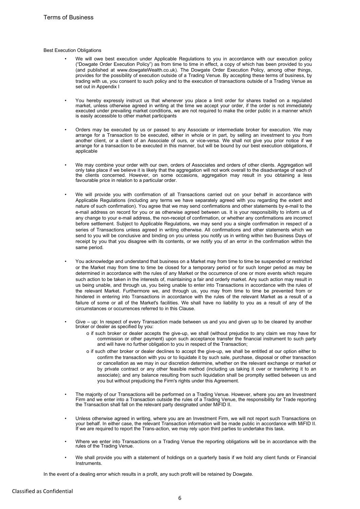### Best Execution Obligations

- We will owe best execution under Applicable Regulations to you in accordance with our execution policy ("Dowgate Order Execution Policy") as from time to time in effect, a copy of which has been provided to you (and published at www.dowgateWealth.co.uk). The Dowgate Order Execution Policy, among other things, provides for the possibility of execution outside of a Trading Venue. By accepting these terms of business, by trading with us, you consent to such policy and to the execution of transactions outside of a Trading Venue as set out in Appendix I
- You hereby expressly instruct us that whenever you place a limit order for shares traded on a regulated market, unless otherwise agreed in writing at the time we accept your order, if the order is not immediately executed under prevailing market conditions, we are not required to make the order public in a manner which is easily accessible to other market participants
- Orders may be executed by us or passed to any Associate or intermediate broker for execution. We may arrange for a Transaction to be executed, either in whole or in part, by selling an investment to you from another client, or a client of an Associate of ours, or vice-versa. We shall not give you prior notice if we arrange for a transaction to be executed in this manner, but will be bound by our best execution obligations, if applicable
- We may combine your order with our own, orders of Associates and orders of other clients. Aggregation will only take place if we believe it is likely that the aggregation will not work overall to the disadvantage of each of the clients concerned. However, on some occasions, aggregation may result in you obtaining a less favourable price in relation to a particular order.
- We will provide you with confirmation of all Transactions carried out on your behalf in accordance with Applicable Regulations (including any terms we have separately agreed with you regarding the extent and nature of such confirmation). You agree that we may send confirmations and other statements by e-mail to the e-mail address on record for you or as otherwise agreed between us. It is your responsibility to inform us of any change to your e-mail address, the non-receipt of confirmation, or whether any confirmations are incorrect before settlement. Subject to Applicable Regulations, we may send you a single confirmation in respect of a series of Transactions unless agreed in writing otherwise. All confirmations and other statements which we send to you will be conclusive and binding on you unless you notify us in writing within two Business Days of receipt by you that you disagree with its contents, or we notify you of an error in the confirmation within the same period.
- You acknowledge and understand that business on a Market may from time to time be suspended or restricted or the Market may from time to time be closed for a temporary period or for such longer period as may be determined in accordance with the rules of any Market or the occurrence of one or more events which require such action to be taken in the interests of, maintaining a fair and orderly market. Any such action may result in us being unable, and through us, you being unable to enter into Transactions in accordance with the rules of the relevant Market. Furthermore we, and through us, you may from time to time be prevented from or hindered in entering into Transactions in accordance with the rules of the relevant Market as a result of a failure of some or all of the Market's facilities. We shall have no liability to you as a result of any of the circumstances or occurrences referred to in this Clause.
- Give up: In respect of every Transaction made between us and you and given up to be cleared by another broker or dealer as specified by you:
	- o if such broker or dealer accepts the give-up, we shall (without prejudice to any claim we may have for commission or other payment) upon such acceptance transfer the financial instrument to such party and will have no further obligation to you in respect of the Transaction;
	- o if such other broker or dealer declines to accept the give-up, we shall be entitled at our option either to confirm the transaction with you or to liquidate it by such sale, purchase, disposal or other transaction or cancellation as we may in our discretion determine, whether on the relevant exchange or market or by private contract or any other feasible method (including us taking it over or transferring it to an associate); and any balance resulting from such liquidation shall be promptly settled between us and you but without prejudicing the Firm's rights under this Agreement.
- The majority of our Transactions will be performed on a Trading Venue. However, where you are an Investment Firm and we enter into a Transaction outside the rules of a Trading Venue, the responsibility for Trade reporting the Transaction shall fall on the relevant party designated under MiFID II.
- Unless otherwise agreed in writing, where you are an Investment Firm, we will not report such Transactions on your behalf. In either case, the relevant Transaction information will be made public in accordance with MiFID II. If we are required to report the Trans-action, we may rely upon third parties to undertake this task.
- Where we enter into Transactions on a Trading Venue the reporting obligations will be in accordance with the rules of the Trading Venue.
- We shall provide you with a statement of holdings on a quarterly basis if we hold any client funds or Financial **Instruments**

In the event of a dealing error which results in a profit, any such profit will be retained by Dowgate.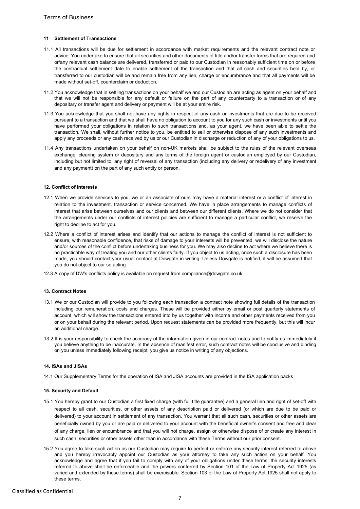### 11 Settlement of Transactions

- 11.1 All transactions will be due for settlement in accordance with market requirements and the relevant contract note or advice. You undertake to ensure that all securities and other documents of title and/or transfer forms that are required and or/any relevant cash balance are delivered, transferred or paid to our Custodian in reasonably sufficient time on or before the contractual settlement date to enable settlement of the transaction and that all cash and securities held by, or transferred to our custodian will be and remain free from any lien, charge or encumbrance and that all payments will be made without set-off, counterclaim or deduction.
- 11.2 You acknowledge that in settling transactions on your behalf we and our Custodian are acting as agent on your behalf and that we will not be responsible for any default or failure on the part of any counterparty to a transaction or of any depositary or transfer agent and delivery or payment will be at your entire risk.
- 11.3 You acknowledge that you shall not have any rights in respect of any cash or investments that are due to be received pursuant to a transaction and that we shall have no obligation to account to you for any such cash or investments until you have performed your obligations in relation to such transactions and, as your agent, we have been able to settle the transaction. We shall, without further notice to you, be entitled to sell or otherwise dispose of any such investments and apply any proceeds or any cash received by us or our Custodian in discharge or reduction of any of your obligations to us.
- 11.4 Any transactions undertaken on your behalf on non-UK markets shall be subject to the rules of the relevant overseas exchange, clearing system or depositary and any terms of the foreign agent or custodian employed by our Custodian, including but not limited to, any right of reversal of any transaction (including any delivery or redelivery of any investment and any payment) on the part of any such entity or person.

### 12. Conflict of Interests

- 12.1 When we provide services to you, we or an associate of ours may have a material interest or a conflict of interest in relation to the investment, transaction or service concerned. We have in place arrangements to manage conflicts of interest that arise between ourselves and our clients and between our different clients. Where we do not consider that the arrangements under our conflicts of interest policies are sufficient to manage a particular conflict, we reserve the right to decline to act for you.
- 12.2 Where a conflict of interest arises and identify that our actions to manage the conflict of interest is not sufficient to ensure, with reasonable confidence, that risks of damage to your interests will be prevented, we will disclose the nature and/or sources of the conflict before undertaking business for you. We may also decline to act where we believe there is no practicable way of treating you and our other clients fairly. If you object to us acting, once such a disclosure has been made, you should contact your usual contact at Dowgate in writing. Unless Dowgate is notified, it will be assumed that you do not object to our so acting
- 12.3 A copy of DW's conflicts policy is available on request from compliance@dowgate.co.uk

## 13. Contract Notes

- 13.1 We or our Custodian will provide to you following each transaction a contract note showing full details of the transaction including our remuneration, costs and charges. These will be provided either by email or post quarterly statements of account, which will show the transactions entered into by us together with income and other payments received from you or on your behalf during the relevant period. Upon request statements can be provided more frequently, but this will incur an additional charge.
- 13.2 It is your responsibility to check the accuracy of the information given in our contract notes and to notify us immediately if you believe anything to be inaccurate. In the absence of manifest error, such contract notes will be conclusive and binding on you unless immediately following receipt, you give us notice in writing of any objections.

### 14. ISAs and JISAs

14.1 Our Supplementary Terms for the operation of ISA and JISA accounts are provided in the ISA application packs

#### 15. Security and Default

- 15.1 You hereby grant to our Custodian a first fixed charge (with full title guarantee) and a general lien and right of set-off with respect to all cash, securities, or other assets of any description paid or delivered (or which are due to be paid or delivered) to your account in settlement of any transaction. You warrant that all such cash, securities or other assets are beneficially owned by you or are paid or delivered to your account with the beneficial owner's consent and free and clear of any charge, lien or encumbrance and that you will not charge, assign or otherwise dispose of or create any interest in such cash, securities or other assets other than in accordance with these Terms without our prior consent.
- 15.2 You agree to take such action as our Custodian may require to perfect or enforce any security interest referred to above and you hereby irrevocably appoint our Custodian as your attorney to take any such action on your behalf. You acknowledge and agree that if you fail to comply with any of your obligations under these terms, the security interests referred to above shall be enforceable and the powers conferred by Section 101 of the Law of Property Act 1925 (as varied and extended by these terms) shall be exercisable. Section 103 of the Law of Property Act 1925 shall not apply to these terms.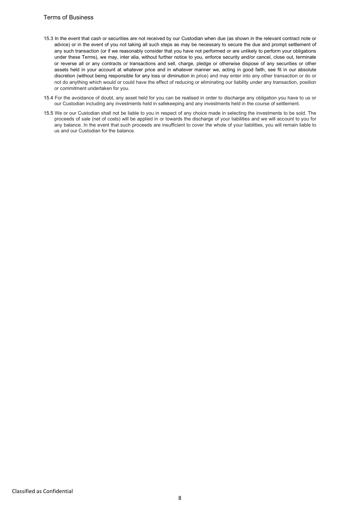- 15.3 In the event that cash or securities are not received by our Custodian when due (as shown in the relevant contract note or advice) or in the event of you not taking all such steps as may be necessary to secure the due and prompt settlement of any such transaction (or if we reasonably consider that you have not performed or are unlikely to perform your obligations under these Terms), we may, inter alia, without further notice to you, enforce security and/or cancel, close out, terminate or reverse all or any contracts or transactions and sell, charge, pledge or otherwise dispose of any securities or other assets held in your account at whatever price and in whatever manner we, acting in good faith, see fit in our absolute discretion (without being responsible for any loss or diminution in price) and may enter into any other transaction or do or not do anything which would or could have the effect of reducing or eliminating our liability under any transaction, position or commitment undertaken for you.
- 15.4 For the avoidance of doubt, any asset held for you can be realised in order to discharge any obligation you have to us or our Custodian including any investments held in safekeeping and any investments held in the course of settlement.
- 15.5 We or our Custodian shall not be liable to you in respect of any choice made in selecting the investments to be sold. The proceeds of sale (net of costs) will be applied in or towards the discharge of your liabilities and we will account to you for any balance. In the event that such proceeds are insufficient to cover the whole of your liabilities, you will remain liable to us and our Custodian for the balance.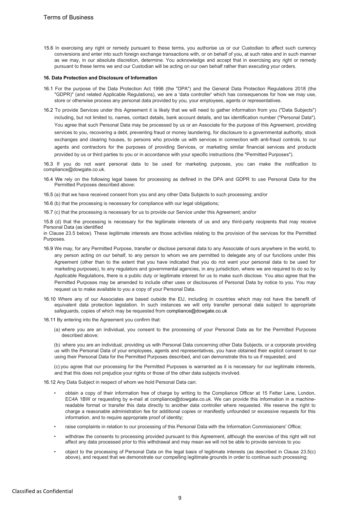15.6 In exercising any right or remedy pursuant to these terms, you authorise us or our Custodian to affect such currency conversions and enter into such foreign exchange transactions with, or on behalf of you, at such rates and in such manner as we may, in our absolute discretion, determine. You acknowledge and accept that in exercising any right or remedy pursuant to these terms we and our Custodian will be acting on our own behalf rather than executing your orders.

### 16. Data Protection and Disclosure of Information

- 16.1 For the purpose of the Data Protection Act 1998 (the "DPA") and the General Data Protection Regulations 2018 (the "GDPR)" (and related Applicable Regulations), we are a 'data controller' which has consequences for how we may use, store or otherwise process any personal data provided by you, your employees, agents or representatives.
- 16.2 To provide Services under this Agreement it is likely that we will need to gather information from you ("Data Subjects") including, but not limited to, names, contact details, bank account details, and tax identification number ("Personal Data"). You agree that such Personal Data may be processed by us or an Associate for the purpose of this Agreement, providing services to you, recovering a debt, preventing fraud or money laundering, for disclosure to a governmental authority, stock exchanges and clearing houses, to persons who provide us with services in connection with anti-fraud controls, to our agents and contractors for the purposes of providing Services, or marketing similar financial services and products provided by us or third parties to you or in accordance with your specific instructions (the "Permitted Purposes").

16.3 If you do not want personal data to be used for marketing purposes, you can make the notification to compliance@dowgate.co.uk.

- 16.4 We rely on the following legal bases for processing as defined in the DPA and GDPR to use Personal Data for the Permitted Purposes described above:
- 16.5 (a) that we have received consent from you and any other Data Subjects to such processing; and/or
- 16.6 (b) that the processing is necessary for compliance with our legal obligations;
- 16.7 (c) that the processing is necessary for us to provide our Service under this Agreement; and/or

15.8 (d) that the processing is necessary for the legitimate interests of us and any third-party recipients that may receive Personal Data (as identified

in Clause 23.5 below). These legitimate interests are those activities relating to the provision of the services for the Permitted Purposes.

- 16.9 We may, for any Permitted Purpose, transfer or disclose personal data to any Associate of ours anywhere in the world, to any person acting on our behalf, to any person to whom we are permitted to delegate any of our functions under this Agreement (other than to the extent that you have indicated that you do not want your personal data to be used for marketing purposes), to any regulators and governmental agencies, in any jurisdiction, where we are required to do so by Applicable Regulations, there is a public duty or legitimate interest for us to make such disclose. You also agree that the Permitted Purposes may be amended to include other uses or disclosures of Personal Data by notice to you. You may request us to make available to you a copy of your Personal Data.
- 16.10 Where any of our Associates are based outside the EU, including in countries which may not have the benefit of equivalent data protection legislation. In such instances we will only transfer personal data subject to appropriate safeguards, copies of which may be requested from compliance@dowgate.co.uk
- 16.11 By entering into the Agreement you confirm that:
	- (a) where you are an individual, you consent to the processing of your Personal Data as for the Permitted Purposes described above;

(b) where you are an individual, providing us with Personal Data concerning other Data Subjects, or a corporate providing us with the Personal Data of your employees, agents and representatives, you have obtained their explicit consent to our using their Personal Data for the Permitted Purposes described, and can demonstrate this to us if requested; and

(c) you agree that our processing for the Permitted Purposes is warranted as it is necessary for our legitimate interests, and that this does not prejudice your rights or those of the other data subjects involved.

16.12 Any Data Subject in respect of whom we hold Personal Data can:

- obtain a copy of their information free of charge by writing to the Compliance Officer at 15 Fetter Lane, London, EC4A 1BW or requesting by e-mail at compliance@dowgate.co.uk. We can provide this information in a machinereadable format or transfer this data directly to another data controller where requested. We reserve the right to charge a reasonable administration fee for additional copies or manifestly unfounded or excessive requests for this information, and to require appropriate proof of identity;
- raise complaints in relation to our processing of this Personal Data with the Information Commissioners' Office;
- withdraw the consents to processing provided pursuant to this Agreement, although the exercise of this right will not affect any data processed prior to this withdrawal and may mean we will not be able to provide services to you
- object to the processing of Personal Data on the legal basis of legitimate interests (as described in Clause 23.5(c) above), and request that we demonstrate our compelling legitimate grounds in order to continue such processing;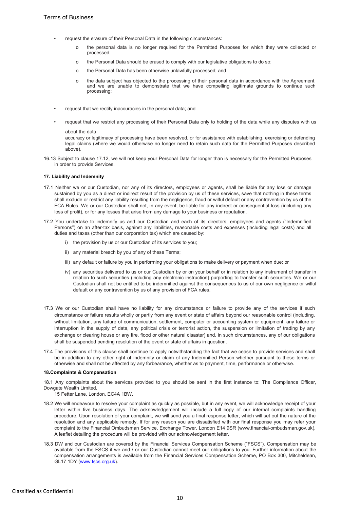- request the erasure of their Personal Data in the following circumstances:
	- the personal data is no longer required for the Permitted Purposes for which they were collected or processed;
	- o the Personal Data should be erased to comply with our legislative obligations to do so;
	- o the Personal Data has been otherwise unlawfully processed; and
	- o the data subject has objected to the processing of their personal data in accordance with the Agreement, and we are unable to demonstrate that we have compelling legitimate grounds to continue such processing;
- request that we rectify inaccuracies in the personal data; and
- request that we restrict any processing of their Personal Data only to holding of the data while any disputes with us about the data

accuracy or legitimacy of processing have been resolved, or for assistance with establishing, exercising or defending legal claims (where we would otherwise no longer need to retain such data for the Permitted Purposes described above).

16.13 Subject to clause 17.12, we will not keep your Personal Data for longer than is necessary for the Permitted Purposes in order to provide Services.

## 17. Liability and Indemnity

- 17.1 Neither we or our Custodian, nor any of its directors, employees or agents, shall be liable for any loss or damage sustained by you as a direct or indirect result of the provision by us of these services, save that nothing in these terms shall exclude or restrict any liability resulting from the negligence, fraud or wilful default or any contravention by us of the FCA Rules. We or our Custodian shall not, in any event, be liable for any indirect or consequential loss (including any loss of profit), or for any losses that arise from any damage to your business or reputation.
- 17.2 You undertake to indemnify us and our Custodian and each of its directors, employees and agents ("Indemnified Persons") on an after-tax basis, against any liabilities, reasonable costs and expenses (including legal costs) and all duties and taxes (other than our corporation tax) which are caused by:
	- i) the provision by us or our Custodian of its services to you;
	- ii) any material breach by you of any of these Terms;
	- iii) any default or failure by you in performing your obligations to make delivery or payment when due; or
	- iv) any securities delivered to us or our Custodian by or on your behalf or in relation to any instrument of transfer in relation to such securities (including any electronic instruction) purporting to transfer such securities. We or our Custodian shall not be entitled to be indemnified against the consequences to us of our own negligence or wilful default or any contravention by us of any provision of FCA rules.
- 17.3 We or our Custodian shall have no liability for any circumstance or failure to provide any of the services if such circumstance or failure results wholly or partly from any event or state of affairs beyond our reasonable control (including, without limitation, any failure of communication, settlement, computer or accounting system or equipment, any failure or interruption in the supply of data, any political crisis or terrorist action, the suspension or limitation of trading by any exchange or clearing house or any fire, flood or other natural disaster) and, in such circumstances, any of our obligations shall be suspended pending resolution of the event or state of affairs in question.
- 17.4 The provisions of this clause shall continue to apply notwithstanding the fact that we cease to provide services and shall be in addition to any other right of indemnity or claim of any Indemnified Person whether pursuant to these terms or otherwise and shall not be affected by any forbearance, whether as to payment, time, performance or otherwise.

## 18.Complaints & Compensation

18.1 Any complaints about the services provided to you should be sent in the first instance to: The Compliance Officer, Dowgate Wealth Limited,

15 Fetter Lane, London, EC4A 1BW.

- 18.2 We will endeavour to resolve your complaint as quickly as possible, but in any event, we will acknowledge receipt of your letter within five business days. The acknowledgement will include a full copy of our internal complaints handling procedure. Upon resolution of your complaint, we will send you a final response letter, which will set out the nature of the resolution and any applicable remedy. If for any reason you are dissatisfied with our final response you may refer your complaint to the Financial Ombudsman Service, Exchange Tower, London E14 9SR (www.financial-ombudsman.gov.uk). A leaflet detailing the procedure will be provided with our acknowledgement letter.
- 18.3 DW and our Custodian are covered by the Financial Services Compensation Scheme ("FSCS"). Compensation may be available from the FSCS if we and / or our Custodian cannot meet our obligations to you. Further information about the compensation arrangements is available from the Financial Services Compensation Scheme, PO Box 300, Mitcheldean, GL17 1DY (www.fscs.org.uk).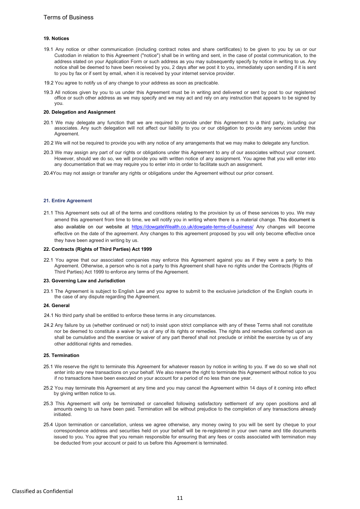### 19. Notices

- 19.1 Any notice or other communication (including contract notes and share certificates) to be given to you by us or our Custodian in relation to this Agreement ("notice") shall be in writing and sent, in the case of postal communication, to the address stated on your Application Form or such address as you may subsequently specify by notice in writing to us. Any notice shall be deemed to have been received by you, 2 days after we post it to you, immediately upon sending if it is sent to you by fax or if sent by email, when it is received by your internet service provider.
- 19.2 You agree to notify us of any change to your address as soon as practicable.
- 19.3 All notices given by you to us under this Agreement must be in writing and delivered or sent by post to our registered office or such other address as we may specify and we may act and rely on any instruction that appears to be signed by you.

### 20. Delegation and Assignment

- 20.1 We may delegate any function that we are required to provide under this Agreement to a third party, including our associates. Any such delegation will not affect our liability to you or our obligation to provide any services under this Agreement.
- 20.2 We will not be required to provide you with any notice of any arrangements that we may make to delegate any function.
- 20.3 We may assign any part of our rights or obligations under this Agreement to any of our associates without your consent. However, should we do so, we will provide you with written notice of any assignment. You agree that you will enter into any documentation that we may require you to enter into in order to facilitate such an assignment.
- 20.4You may not assign or transfer any rights or obligations under the Agreement without our prior consent.

### 21. Entire Agreement

21.1 This Agreement sets out all of the terms and conditions relating to the provision by us of these services to you. We may amend this agreement from time to time, we will notify you in writing where there is a material change. This document is also available on our website at https://dowgateWealth.co.uk/dowgate-terms-of-business/ Any changes will become effective on the date of the agreement. Any changes to this agreement proposed by you will only become effective once they have been agreed in writing by us.

### 22. Contracts (Rights of Third Parties) Act 1999

22.1 You agree that our associated companies may enforce this Agreement against you as if they were a party to this Agreement. Otherwise, a person who is not a party to this Agreement shall have no rights under the Contracts (Rights of Third Parties) Act 1999 to enforce any terms of the Agreement.

#### 23. Governing Law and Jurisdiction

23.1 The Agreement is subject to English Law and you agree to submit to the exclusive jurisdiction of the English courts in the case of any dispute regarding the Agreement.

### 24. General

- 24.1 No third party shall be entitled to enforce these terms in any circumstances.
- 24.2 Any failure by us (whether continued or not) to insist upon strict compliance with any of these Terms shall not constitute nor be deemed to constitute a waiver by us of any of its rights or remedies. The rights and remedies conferred upon us shall be cumulative and the exercise or waiver of any part thereof shall not preclude or inhibit the exercise by us of any other additional rights and remedies.

#### 25. Termination

- 25.1 We reserve the right to terminate this Agreement for whatever reason by notice in writing to you. If we do so we shall not enter into any new transactions on your behalf. We also reserve the right to terminate this Agreement without notice to you if no transactions have been executed on your account for a period of no less than one year.
- 25.2 You may terminate this Agreement at any time and you may cancel the Agreement within 14 days of it coming into effect by giving written notice to us.
- 25.3 This Agreement will only be terminated or cancelled following satisfactory settlement of any open positions and all amounts owing to us have been paid. Termination will be without prejudice to the completion of any transactions already initiated.
- 25.4 Upon termination or cancellation, unless we agree otherwise, any money owing to you will be sent by cheque to your correspondence address and securities held on your behalf will be re-registered in your own name and title documents issued to you. You agree that you remain responsible for ensuring that any fees or costs associated with termination may be deducted from your account or paid to us before this Agreement is terminated.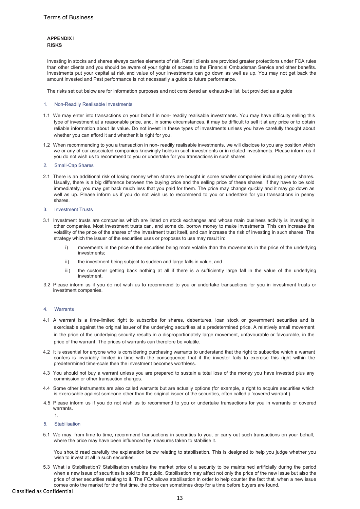## APPENDIX I RISKS

Investing in stocks and shares always carries elements of risk. Retail clients are provided greater protections under FCA rules than other clients and you should be aware of your rights of access to the Financial Ombudsman Service and other benefits. Investments put your capital at risk and value of your investments can go down as well as up. You may not get back the amount invested and Past performance is not necessarily a guide to future performance.

The risks set out below are for information purposes and not considered an exhaustive list, but provided as a guide

### 1. Non-Readily Realisable Investments

- 1.1 We may enter into transactions on your behalf in non- readily realisable investments. You may have difficulty selling this type of investment at a reasonable price, and, in some circumstances, it may be difficult to sell it at any price or to obtain reliable information about its value. Do not invest in these types of investments unless you have carefully thought about whether you can afford it and whether it is right for you.
- 1.2 When recommending to you a transaction in non- readily realisable investments, we will disclose to you any position which we or any of our associated companies knowingly holds in such investments or in related investments. Please inform us if you do not wish us to recommend to you or undertake for you transactions in such shares.
- 2. Small-Cap Shares
- 2.1 There is an additional risk of losing money when shares are bought in some smaller companies including penny shares. Usually, there is a big difference between the buying price and the selling price of these shares. If they have to be sold immediately, you may get back much less that you paid for them. The price may change quickly and it may go down as well as up. Please inform us if you do not wish us to recommend to you or undertake for you transactions in penny shares.
- 3. Investment Trusts
- 3.1 Investment trusts are companies which are listed on stock exchanges and whose main business activity is investing in other companies. Most investment trusts can, and some do, borrow money to make investments. This can increase the volatility of the price of the shares of the investment trust itself, and can increase the risk of investing in such shares. The strategy which the issuer of the securities uses or proposes to use may result in:
	- i) movements in the price of the securities being more volatile than the movements in the price of the underlying investments;
	- ii) the investment being subject to sudden and large falls in value; and
	- iii) the customer getting back nothing at all if there is a sufficiently large fall in the value of the underlying investment.
- 3.2 Please inform us if you do not wish us to recommend to you or undertake transactions for you in investment trusts or investment companies.

### 4. Warrants

- 4.1 A warrant is a time-limited right to subscribe for shares, debentures, loan stock or government securities and is exercisable against the original issuer of the underlying securities at a predetermined price. A relatively small movement in the price of the underlying security results in a disproportionately large movement, unfavourable or favourable, in the price of the warrant. The prices of warrants can therefore be volatile.
- 4.2 It is essential for anyone who is considering purchasing warrants to understand that the right to subscribe which a warrant confers is invariably limited in time with the consequence that if the investor fails to exercise this right within the predetermined time-scale then the investment becomes worthless.
- 4.3 You should not buy a warrant unless you are prepared to sustain a total loss of the money you have invested plus any commission or other transaction charges.
- 4.4 Some other instruments are also called warrants but are actually options (for example, a right to acquire securities which is exercisable against someone other than the original issuer of the securities, often called a 'covered warrant').
- 4.5 Please inform us if you do not wish us to recommend to you or undertake transactions for you in warrants or covered warrants. 1.
- 5. Stabilisation
- 5.1 We may, from time to time, recommend transactions in securities to you, or carry out such transactions on your behalf, where the price may have been influenced by measures taken to stabilise it.

You should read carefully the explanation below relating to stabilisation. This is designed to help you judge whether you wish to invest at all in such securities.

5.3 What is Stabilisation? Stabilisation enables the market price of a security to be maintained artificially during the period when a new issue of securities is sold to the public. Stabilisation may affect not only the price of the new issue but also the price of other securities relating to it. The FCA allows stabilisation in order to help counter the fact that, when a new issue comes onto the market for the first time, the price can sometimes drop for a time before buyers are found.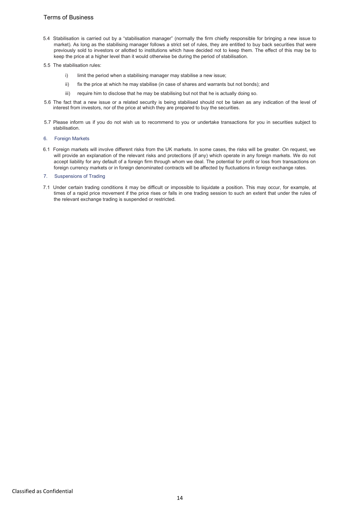- 5.4 Stabilisation is carried out by a "stabilisation manager" (normally the firm chiefly responsible for bringing a new issue to market). As long as the stabilising manager follows a strict set of rules, they are entitled to buy back securities that were previously sold to investors or allotted to institutions which have decided not to keep them. The effect of this may be to keep the price at a higher level than it would otherwise be during the period of stabilisation.
- 5.5 The stabilisation rules:
	- i) limit the period when a stabilising manager may stabilise a new issue;
	- ii) fix the price at which he may stabilise (in case of shares and warrants but not bonds); and
	- iii) require him to disclose that he may be stabilising but not that he is actually doing so.
- 5.6 The fact that a new issue or a related security is being stabilised should not be taken as any indication of the level of interest from investors, nor of the price at which they are prepared to buy the securities.
- 5.7 Please inform us if you do not wish us to recommend to you or undertake transactions for you in securities subject to stabilisation.
- 6. Foreign Markets
- 6.1 Foreign markets will involve different risks from the UK markets. In some cases, the risks will be greater. On request, we will provide an explanation of the relevant risks and protections (if any) which operate in any foreign markets. We do not accept liability for any default of a foreign firm through whom we deal. The potential for profit or loss from transactions on foreign currency markets or in foreign denominated contracts will be affected by fluctuations in foreign exchange rates.
- 7. Suspensions of Trading
- 7.1 Under certain trading conditions it may be difficult or impossible to liquidate a position. This may occur, for example, at times of a rapid price movement if the price rises or falls in one trading session to such an extent that under the rules of the relevant exchange trading is suspended or restricted.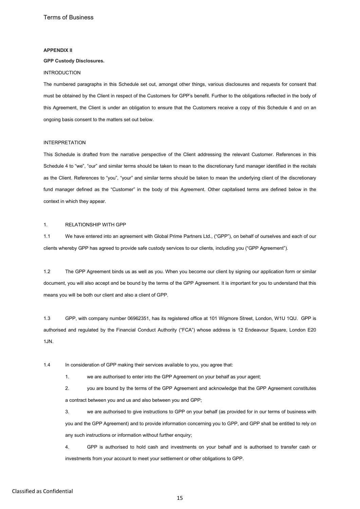### APPENDIX II

### GPP Custody Disclosures.

### INTRODUCTION

The numbered paragraphs in this Schedule set out, amongst other things, various disclosures and requests for consent that must be obtained by the Client in respect of the Customers for GPP's benefit. Further to the obligations reflected in the body of this Agreement, the Client is under an obligation to ensure that the Customers receive a copy of this Schedule 4 and on an ongoing basis consent to the matters set out below.

### INTERPRETATION

This Schedule is drafted from the narrative perspective of the Client addressing the relevant Customer. References in this Schedule 4 to "we", "our" and similar terms should be taken to mean to the discretionary fund manager identified in the recitals as the Client. References to "you", "your" and similar terms should be taken to mean the underlying client of the discretionary fund manager defined as the "Customer" in the body of this Agreement. Other capitalised terms are defined below in the context in which they appear.

## 1. RELATIONSHIP WITH GPP

1.1 We have entered into an agreement with Global Prime Partners Ltd., ("GPP"), on behalf of ourselves and each of our clients whereby GPP has agreed to provide safe custody services to our clients, including you ("GPP Agreement").

1.2 The GPP Agreement binds us as well as you. When you become our client by signing our application form or similar document, you will also accept and be bound by the terms of the GPP Agreement. It is important for you to understand that this means you will be both our client and also a client of GPP.

1.3 GPP, with company number 06962351, has its registered office at 101 Wigmore Street, London, W1U 1QU. GPP is authorised and regulated by the Financial Conduct Authority ("FCA") whose address is 12 Endeavour Square, London E20 1JN.

1.4 In consideration of GPP making their services available to you, you agree that:

1. we are authorised to enter into the GPP Agreement on your behalf as your agent;

2. you are bound by the terms of the GPP Agreement and acknowledge that the GPP Agreement constitutes a contract between you and us and also between you and GPP;

3. we are authorised to give instructions to GPP on your behalf (as provided for in our terms of business with you and the GPP Agreement) and to provide information concerning you to GPP, and GPP shall be entitled to rely on any such instructions or information without further enquiry;

4. GPP is authorised to hold cash and investments on your behalf and is authorised to transfer cash or investments from your account to meet your settlement or other obligations to GPP.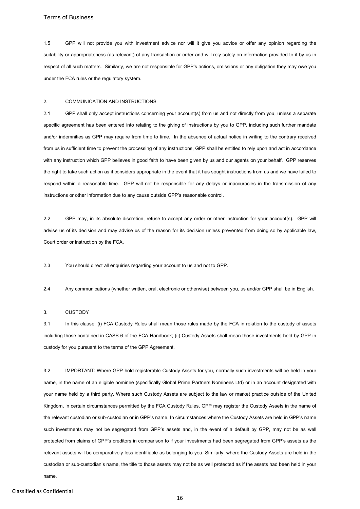1.5 GPP will not provide you with investment advice nor will it give you advice or offer any opinion regarding the suitability or appropriateness (as relevant) of any transaction or order and will rely solely on information provided to it by us in respect of all such matters. Similarly, we are not responsible for GPP's actions, omissions or any obligation they may owe you under the FCA rules or the regulatory system.

### 2. COMMUNICATION AND INSTRUCTIONS

2.1 GPP shall only accept instructions concerning your account(s) from us and not directly from you, unless a separate specific agreement has been entered into relating to the giving of instructions by you to GPP, including such further mandate and/or indemnities as GPP may require from time to time. In the absence of actual notice in writing to the contrary received from us in sufficient time to prevent the processing of any instructions, GPP shall be entitled to rely upon and act in accordance with any instruction which GPP believes in good faith to have been given by us and our agents on your behalf. GPP reserves the right to take such action as it considers appropriate in the event that it has sought instructions from us and we have failed to respond within a reasonable time. GPP will not be responsible for any delays or inaccuracies in the transmission of any instructions or other information due to any cause outside GPP's reasonable control.

2.2 GPP may, in its absolute discretion, refuse to accept any order or other instruction for your account(s). GPP will advise us of its decision and may advise us of the reason for its decision unless prevented from doing so by applicable law, Court order or instruction by the FCA.

2.3 You should direct all enquiries regarding your account to us and not to GPP.

2.4 Any communications (whether written, oral, electronic or otherwise) between you, us and/or GPP shall be in English.

### 3. CUSTODY

3.1 In this clause: (i) FCA Custody Rules shall mean those rules made by the FCA in relation to the custody of assets including those contained in CASS 6 of the FCA Handbook; (ii) Custody Assets shall mean those investments held by GPP in custody for you pursuant to the terms of the GPP Agreement.

3.2 IMPORTANT: Where GPP hold registerable Custody Assets for you, normally such investments will be held in your name, in the name of an eligible nominee (specifically Global Prime Partners Nominees Ltd) or in an account designated with your name held by a third party. Where such Custody Assets are subject to the law or market practice outside of the United Kingdom, in certain circumstances permitted by the FCA Custody Rules, GPP may register the Custody Assets in the name of the relevant custodian or sub-custodian or in GPP's name. In circumstances where the Custody Assets are held in GPP's name such investments may not be segregated from GPP's assets and, in the event of a default by GPP, may not be as well protected from claims of GPP's creditors in comparison to if your investments had been segregated from GPP's assets as the relevant assets will be comparatively less identifiable as belonging to you. Similarly, where the Custody Assets are held in the custodian or sub-custodian's name, the title to those assets may not be as well protected as if the assets had been held in your name.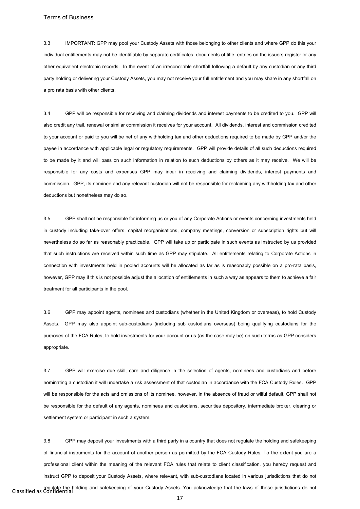3.3 IMPORTANT: GPP may pool your Custody Assets with those belonging to other clients and where GPP do this your individual entitlements may not be identifiable by separate certificates, documents of title, entries on the issuers register or any other equivalent electronic records. In the event of an irreconcilable shortfall following a default by any custodian or any third party holding or delivering your Custody Assets, you may not receive your full entitlement and you may share in any shortfall on a pro rata basis with other clients.

3.4 GPP will be responsible for receiving and claiming dividends and interest payments to be credited to you. GPP will also credit any trail, renewal or similar commission it receives for your account. All dividends, interest and commission credited to your account or paid to you will be net of any withholding tax and other deductions required to be made by GPP and/or the payee in accordance with applicable legal or regulatory requirements. GPP will provide details of all such deductions required to be made by it and will pass on such information in relation to such deductions by others as it may receive. We will be responsible for any costs and expenses GPP may incur in receiving and claiming dividends, interest payments and commission. GPP, its nominee and any relevant custodian will not be responsible for reclaiming any withholding tax and other deductions but nonetheless may do so.

3.5 GPP shall not be responsible for informing us or you of any Corporate Actions or events concerning investments held in custody including take-over offers, capital reorganisations, company meetings, conversion or subscription rights but will nevertheless do so far as reasonably practicable. GPP will take up or participate in such events as instructed by us provided that such instructions are received within such time as GPP may stipulate. All entitlements relating to Corporate Actions in connection with investments held in pooled accounts will be allocated as far as is reasonably possible on a pro-rata basis, however, GPP may if this is not possible adjust the allocation of entitlements in such a way as appears to them to achieve a fair treatment for all participants in the pool.

3.6 GPP may appoint agents, nominees and custodians (whether in the United Kingdom or overseas), to hold Custody Assets. GPP may also appoint sub-custodians (including sub custodians overseas) being qualifying custodians for the purposes of the FCA Rules, to hold investments for your account or us (as the case may be) on such terms as GPP considers appropriate.

3.7 GPP will exercise due skill, care and diligence in the selection of agents, nominees and custodians and before nominating a custodian it will undertake a risk assessment of that custodian in accordance with the FCA Custody Rules. GPP will be responsible for the acts and omissions of its nominee, however, in the absence of fraud or wilful default, GPP shall not be responsible for the default of any agents, nominees and custodians, securities depository, intermediate broker, clearing or settlement system or participant in such a system.

regulate the holding and safekeeping of your Custody Assets. You acknowledge that the laws of those jurisdictions do not<br>Classified as Confidential 3.8 GPP may deposit your investments with a third party in a country that does not regulate the holding and safekeeping of financial instruments for the account of another person as permitted by the FCA Custody Rules. To the extent you are a professional client within the meaning of the relevant FCA rules that relate to client classification, you hereby request and instruct GPP to deposit your Custody Assets, where relevant, with sub-custodians located in various jurisdictions that do not

17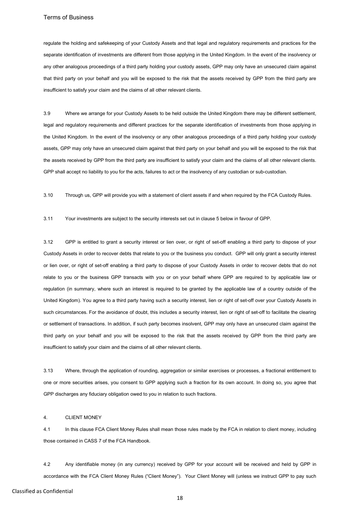regulate the holding and safekeeping of your Custody Assets and that legal and regulatory requirements and practices for the separate identification of investments are different from those applying in the United Kingdom. In the event of the insolvency or any other analogous proceedings of a third party holding your custody assets, GPP may only have an unsecured claim against that third party on your behalf and you will be exposed to the risk that the assets received by GPP from the third party are insufficient to satisfy your claim and the claims of all other relevant clients.

3.9 Where we arrange for your Custody Assets to be held outside the United Kingdom there may be different settlement, legal and regulatory requirements and different practices for the separate identification of investments from those applying in the United Kingdom. In the event of the insolvency or any other analogous proceedings of a third party holding your custody assets, GPP may only have an unsecured claim against that third party on your behalf and you will be exposed to the risk that the assets received by GPP from the third party are insufficient to satisfy your claim and the claims of all other relevant clients. GPP shall accept no liability to you for the acts, failures to act or the insolvency of any custodian or sub-custodian.

3.10 Through us, GPP will provide you with a statement of client assets if and when required by the FCA Custody Rules.

3.11 Your investments are subject to the security interests set out in clause 5 below in favour of GPP.

3.12 GPP is entitled to grant a security interest or lien over, or right of set-off enabling a third party to dispose of your Custody Assets in order to recover debts that relate to you or the business you conduct. GPP will only grant a security interest or lien over, or right of set-off enabling a third party to dispose of your Custody Assets in order to recover debts that do not relate to you or the business GPP transacts with you or on your behalf where GPP are required to by applicable law or regulation (in summary, where such an interest is required to be granted by the applicable law of a country outside of the United Kingdom). You agree to a third party having such a security interest, lien or right of set-off over your Custody Assets in such circumstances. For the avoidance of doubt, this includes a security interest, lien or right of set-off to facilitate the clearing or settlement of transactions. In addition, if such party becomes insolvent, GPP may only have an unsecured claim against the third party on your behalf and you will be exposed to the risk that the assets received by GPP from the third party are insufficient to satisfy your claim and the claims of all other relevant clients.

3.13 Where, through the application of rounding, aggregation or similar exercises or processes, a fractional entitlement to one or more securities arises, you consent to GPP applying such a fraction for its own account. In doing so, you agree that GPP discharges any fiduciary obligation owed to you in relation to such fractions.

### 4. CLIENT MONEY

4.1 In this clause FCA Client Money Rules shall mean those rules made by the FCA in relation to client money, including those contained in CASS 7 of the FCA Handbook.

4.2 Any identifiable money (in any currency) received by GPP for your account will be received and held by GPP in accordance with the FCA Client Money Rules ("Client Money"). Your Client Money will (unless we instruct GPP to pay such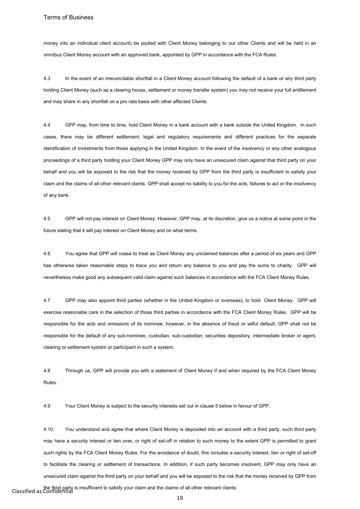money into an individual client account) be pooled with Client Money belonging to our other Clients and will be held in an omnibus Client Money account with an approved bank, appointed by GPP in accordance with the FCA Rules.

4.3 In the event of an irreconcilable shortfall in a Client Money account following the default of a bank or any third party holding Client Money (such as a clearing house, settlement or money transfer system) you may not receive your full entitlement and may share in any shortfall on a pro rata basis with other affected Clients.

4.4 GPP may, from time to time, hold Client Money in a bank account with a bank outside the United Kingdom. In such cases, there may be different settlement, legal and regulatory requirements and different practices for the separate identification of investments from those applying in the United Kingdom. In the event of the insolvency or any other analogous proceedings of a third party holding your Client Money GPP may only have an unsecured claim against that third party on your behalf and you will be exposed to the risk that the money received by GPP from the third party is insufficient to satisfy your claim and the claims of all other relevant clients. GPP shall accept no liability to you for the acts, failures to act or the insolvency of any bank.

4.5 GPP will not pay interest on Client Money. However, GPP may, at its discretion, give us a notice at some point in the future stating that it will pay interest on Client Money and on what terms.

4.6 You agree that GPP will cease to treat as Client Money any unclaimed balances after a period of six years and GPP has otherwise taken reasonable steps to trace you and return any balance to you and pay the sums to charity. GPP will nevertheless make good any subsequent valid claim against such balances in accordance with the FCA Client Money Rules.

4.7 GPP may also appoint third parties (whether in the United Kingdom or overseas), to hold Client Money. GPP will exercise reasonable care in the selection of those third parties in accordance with the FCA Client Money Rules. GPP will be responsible for the acts and omissions of its nominee, however, in the absence of fraud or wilful default, GPP shall not be responsible for the default of any sub-nominee, custodian, sub-custodian, securities depository, intermediate broker or agent, clearing or settlement system or participant in such a system.

4.8 Through us, GPP will provide you with a statement of Client Money if and when required by the FCA Client Money Rules.

4.9 Your Client Money is subject to the security interests set out in clause 5 below in favour of GPP.

Classified as Confidential the third party is insufficient to satisfy your claim and the claims of all other relevant clients. 4.10 You understand and agree that where Client Money is deposited into an account with a third party, such third party may have a security interest or lien over, or right of set-off in relation to such money to the extent GPP is permitted to grant such rights by the FCA Client Money Rules. For the avoidance of doubt, this includes a security interest, lien or right of set-off to facilitate the clearing or settlement of transactions. In addition, if such party becomes insolvent, GPP may only have an unsecured claim against the third party on your behalf and you will be exposed to the risk that the money received by GPP from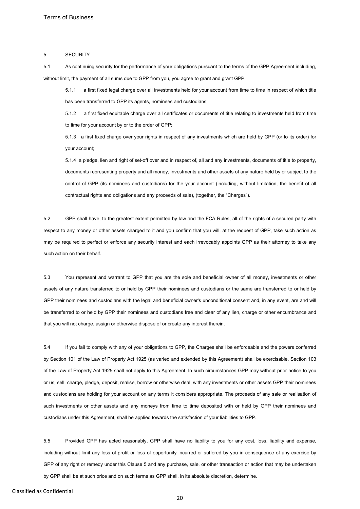#### 5. SECURITY

5.1 As continuing security for the performance of your obligations pursuant to the terms of the GPP Agreement including, without limit, the payment of all sums due to GPP from you, you agree to grant and grant GPP:

5.1.1 a first fixed legal charge over all investments held for your account from time to time in respect of which title has been transferred to GPP its agents, nominees and custodians;

5.1.2 a first fixed equitable charge over all certificates or documents of title relating to investments held from time to time for your account by or to the order of GPP;

5.1.3 a first fixed charge over your rights in respect of any investments which are held by GPP (or to its order) for your account;

5.1.4 a pledge, lien and right of set-off over and in respect of, all and any investments, documents of title to property, documents representing property and all money, investments and other assets of any nature held by or subject to the control of GPP (its nominees and custodians) for the your account (including, without limitation, the benefit of all contractual rights and obligations and any proceeds of sale), (together, the "Charges").

5.2 GPP shall have, to the greatest extent permitted by law and the FCA Rules, all of the rights of a secured party with respect to any money or other assets charged to it and you confirm that you will, at the request of GPP, take such action as may be required to perfect or enforce any security interest and each irrevocably appoints GPP as their attorney to take any such action on their behalf.

5.3 You represent and warrant to GPP that you are the sole and beneficial owner of all money, investments or other assets of any nature transferred to or held by GPP their nominees and custodians or the same are transferred to or held by GPP their nominees and custodians with the legal and beneficial owner's unconditional consent and, in any event, are and will be transferred to or held by GPP their nominees and custodians free and clear of any lien, charge or other encumbrance and that you will not charge, assign or otherwise dispose of or create any interest therein.

5.4 If you fail to comply with any of your obligations to GPP, the Charges shall be enforceable and the powers conferred by Section 101 of the Law of Property Act 1925 (as varied and extended by this Agreement) shall be exercisable. Section 103 of the Law of Property Act 1925 shall not apply to this Agreement. In such circumstances GPP may without prior notice to you or us, sell, charge, pledge, deposit, realise, borrow or otherwise deal, with any investments or other assets GPP their nominees and custodians are holding for your account on any terms it considers appropriate. The proceeds of any sale or realisation of such investments or other assets and any moneys from time to time deposited with or held by GPP their nominees and custodians under this Agreement, shall be applied towards the satisfaction of your liabilities to GPP.

5.5 Provided GPP has acted reasonably, GPP shall have no liability to you for any cost, loss, liability and expense, including without limit any loss of profit or loss of opportunity incurred or suffered by you in consequence of any exercise by GPP of any right or remedy under this Clause 5 and any purchase, sale, or other transaction or action that may be undertaken by GPP shall be at such price and on such terms as GPP shall, in its absolute discretion, determine.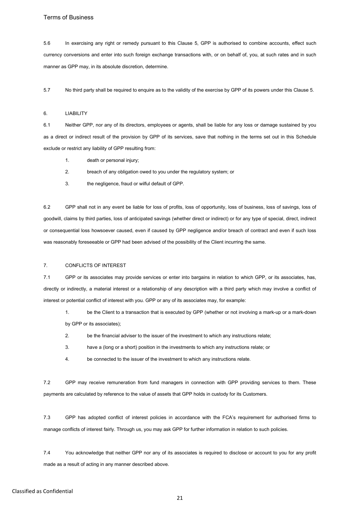5.6 In exercising any right or remedy pursuant to this Clause 5, GPP is authorised to combine accounts, effect such currency conversions and enter into such foreign exchange transactions with, or on behalf of, you, at such rates and in such manner as GPP may, in its absolute discretion, determine.

5.7 No third party shall be required to enquire as to the validity of the exercise by GPP of its powers under this Clause 5.

### 6. LIABILITY

6.1 Neither GPP, nor any of its directors, employees or agents, shall be liable for any loss or damage sustained by you as a direct or indirect result of the provision by GPP of its services, save that nothing in the terms set out in this Schedule exclude or restrict any liability of GPP resulting from:

- 1. death or personal injury;
- 2. breach of any obligation owed to you under the regulatory system; or
- 3. the negligence, fraud or wilful default of GPP.

6.2 GPP shall not in any event be liable for loss of profits, loss of opportunity, loss of business, loss of savings, loss of goodwill, claims by third parties, loss of anticipated savings (whether direct or indirect) or for any type of special, direct, indirect or consequential loss howsoever caused, even if caused by GPP negligence and/or breach of contract and even if such loss was reasonably foreseeable or GPP had been advised of the possibility of the Client incurring the same.

## 7. CONFLICTS OF INTEREST

7.1 GPP or its associates may provide services or enter into bargains in relation to which GPP, or its associates, has, directly or indirectly, a material interest or a relationship of any description with a third party which may involve a conflict of interest or potential conflict of interest with you. GPP or any of its associates may, for example:

- 1. be the Client to a transaction that is executed by GPP (whether or not involving a mark-up or a mark-down by GPP or its associates);
- 2. be the financial adviser to the issuer of the investment to which any instructions relate;
- 3. have a (long or a short) position in the investments to which any instructions relate; or
- 4. be connected to the issuer of the investment to which any instructions relate.

7.2 GPP may receive remuneration from fund managers in connection with GPP providing services to them. These payments are calculated by reference to the value of assets that GPP holds in custody for its Customers.

7.3 GPP has adopted conflict of interest policies in accordance with the FCA's requirement for authorised firms to manage conflicts of interest fairly. Through us, you may ask GPP for further information in relation to such policies.

7.4 You acknowledge that neither GPP nor any of its associates is required to disclose or account to you for any profit made as a result of acting in any manner described above.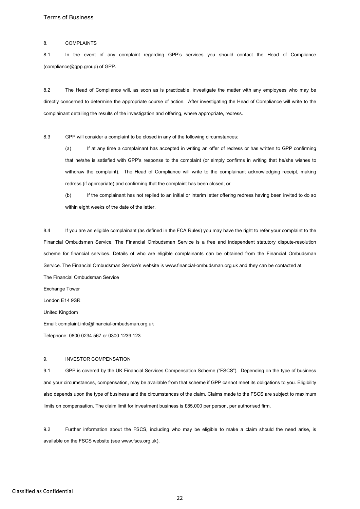### 8. COMPLAINTS

8.1 In the event of any complaint regarding GPP's services you should contact the Head of Compliance (compliance@gpp.group) of GPP.

8.2 The Head of Compliance will, as soon as is practicable, investigate the matter with any employees who may be directly concerned to determine the appropriate course of action. After investigating the Head of Compliance will write to the complainant detailing the results of the investigation and offering, where appropriate, redress.

8.3 GPP will consider a complaint to be closed in any of the following circumstances:

(a) If at any time a complainant has accepted in writing an offer of redress or has written to GPP confirming that he/she is satisfied with GPP's response to the complaint (or simply confirms in writing that he/she wishes to withdraw the complaint). The Head of Compliance will write to the complainant acknowledging receipt, making redress (if appropriate) and confirming that the complaint has been closed; or

(b) If the complainant has not replied to an initial or interim letter offering redress having been invited to do so within eight weeks of the date of the letter.

8.4 If you are an eligible complainant (as defined in the FCA Rules) you may have the right to refer your complaint to the Financial Ombudsman Service. The Financial Ombudsman Service is a free and independent statutory dispute-resolution scheme for financial services. Details of who are eligible complainants can be obtained from the Financial Ombudsman Service. The Financial Ombudsman Service's website is www.financial-ombudsman.org.uk and they can be contacted at: The Financial Ombudsman Service

Exchange Tower

London E14 9SR

United Kingdom

Email: complaint.info@financial-ombudsman.org.uk

Telephone: 0800 0234 567 or 0300 1239 123

#### 9. INVESTOR COMPENSATION

9.1 GPP is covered by the UK Financial Services Compensation Scheme ("FSCS"). Depending on the type of business and your circumstances, compensation, may be available from that scheme if GPP cannot meet its obligations to you. Eligibility also depends upon the type of business and the circumstances of the claim. Claims made to the FSCS are subject to maximum limits on compensation. The claim limit for investment business is £85,000 per person, per authorised firm.

9.2 Further information about the FSCS, including who may be eligible to make a claim should the need arise, is available on the FSCS website (see www.fscs.org.uk).